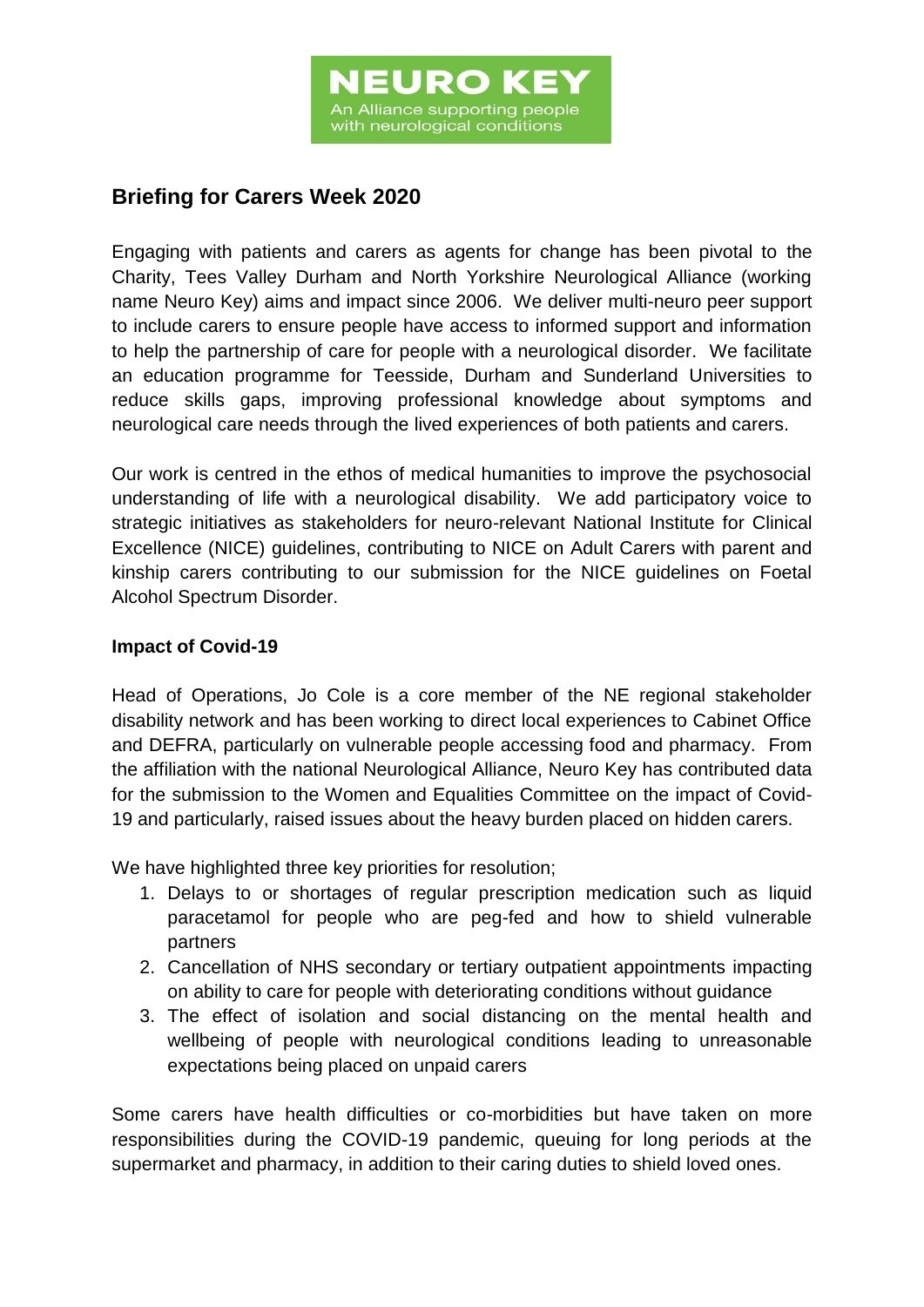## **Briefing for Carers Week 2020**

Engaging with patients and carers as agents for change has been pivotal to the Charity, Tees Valley Durham and North Yorkshire Neurological Alliance (working name Neuro Key) aims and impact since 2006. We deliver multi-neuro peer support to include carers to ensure people have access to informed support and information to help the partnership of care for people with a neurological disorder. We facilitate an education programme for Teesside, Durham and Sunderland Universities to reduce skills gaps, improving professional knowledge about symptoms and neurological care needs through the lived experiences of both patients and carers.

Our work is centred in the ethos of medical humanities to improve the psychosocial understanding of life with a neurological disability. We add participatory voice to strategic initiatives as stakeholders for neuro-relevant National Institute for Clinical Excellence (NICE) guidelines, contributing to NICE on Adult Carers with parent and kinship carers contributing to our submission for the NICE guidelines on Foetal Alcohol Spectrum Disorder.

## **Impact of Covid-19**

Head of Operations, Jo Cole is a core member of the NE regional stakeholder disability network and has been working to direct local experiences to Cabinet Office and DEFRA, particularly on vulnerable people accessing food and pharmacy. From the affiliation with the national Neurological Alliance, Neuro Key has contributed data for the submission to the Women and Equalities Committee on the impact of Covid-19 and particularly, raised issues about the heavy burden placed on hidden carers.

We have highlighted three key priorities for resolution;

- 1. Delays to or shortages of regular prescription medication such as liquid paracetamol for people who are peg-fed and how to shield vulnerable partners
- 2. Cancellation of NHS secondary or tertiary outpatient appointments impacting on ability to care for people with deteriorating conditions without guidance
- 3. The effect of isolation and social distancing on the mental health and wellbeing of people with neurological conditions leading to unreasonable expectations being placed on unpaid carers

Some carers have health difficulties or co-morbidities but have taken on more responsibilities during the COVID-19 pandemic, queuing for long periods at the supermarket and pharmacy, in addition to their caring duties to shield loved ones.